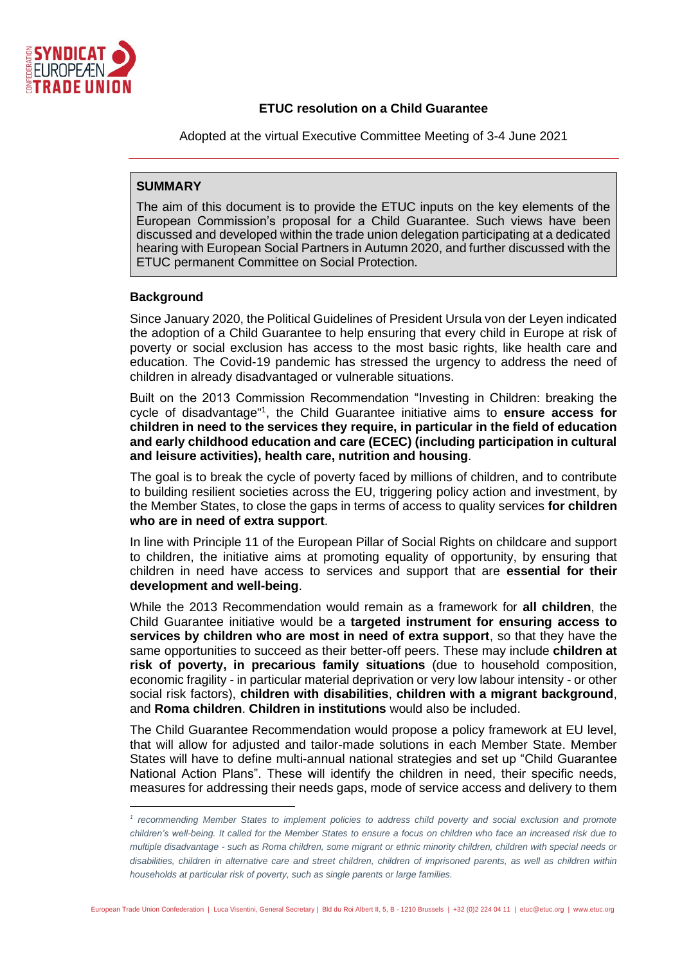

## **ETUC resolution on a Child Guarantee**

Adopted at the virtual Executive Committee Meeting of 3-4 June 2021

# **SUMMARY**

The aim of this document is to provide the ETUC inputs on the key elements of the European Commission's proposal for a Child Guarantee. Such views have been discussed and developed within the trade union delegation participating at a dedicated hearing with European Social Partners in Autumn 2020, and further discussed with the ETUC permanent Committee on Social Protection.

## **Background**

Since January 2020, the Political Guidelines of President Ursula von der Leyen indicated the adoption of a Child Guarantee to help ensuring that every child in Europe at risk of poverty or social exclusion has access to the most basic rights, like health care and education. The Covid-19 pandemic has stressed the urgency to address the need of children in already disadvantaged or vulnerable situations.

Built on the 2013 Commission Recommendation "Investing in Children: breaking the cycle of disadvantage"<sup>1</sup> , the Child Guarantee initiative aims to **ensure access for children in need to the services they require, in particular in the field of education and early childhood education and care (ECEC) (including participation in cultural and leisure activities), health care, nutrition and housing**.

The goal is to break the cycle of poverty faced by millions of children, and to contribute to building resilient societies across the EU, triggering policy action and investment, by the Member States, to close the gaps in terms of access to quality services **for children who are in need of extra support**.

In line with Principle 11 of the European Pillar of Social Rights on childcare and support to children, the initiative aims at promoting equality of opportunity, by ensuring that children in need have access to services and support that are **essential for their development and well-being**.

While the 2013 Recommendation would remain as a framework for **all children**, the Child Guarantee initiative would be a **targeted instrument for ensuring access to services by children who are most in need of extra support**, so that they have the same opportunities to succeed as their better-off peers. These may include **children at risk of poverty, in precarious family situations** (due to household composition, economic fragility - in particular material deprivation or very low labour intensity - or other social risk factors), **children with disabilities**, **children with a migrant background**, and **Roma children**. **Children in institutions** would also be included.

The Child Guarantee Recommendation would propose a policy framework at EU level, that will allow for adjusted and tailor-made solutions in each Member State. Member States will have to define multi-annual national strategies and set up "Child Guarantee National Action Plans". These will identify the children in need, their specific needs, measures for addressing their needs gaps, mode of service access and delivery to them

<sup>&</sup>lt;sup>1</sup> recommending Member States to implement policies to address child poverty and social exclusion and promote *children's well-being. It called for the Member States to ensure a focus on children who face an increased risk due to multiple disadvantage - such as Roma children, some migrant or ethnic minority children, children with special needs or disabilities, children in alternative care and street children, children of imprisoned parents, as well as children within households at particular risk of poverty, such as single parents or large families.*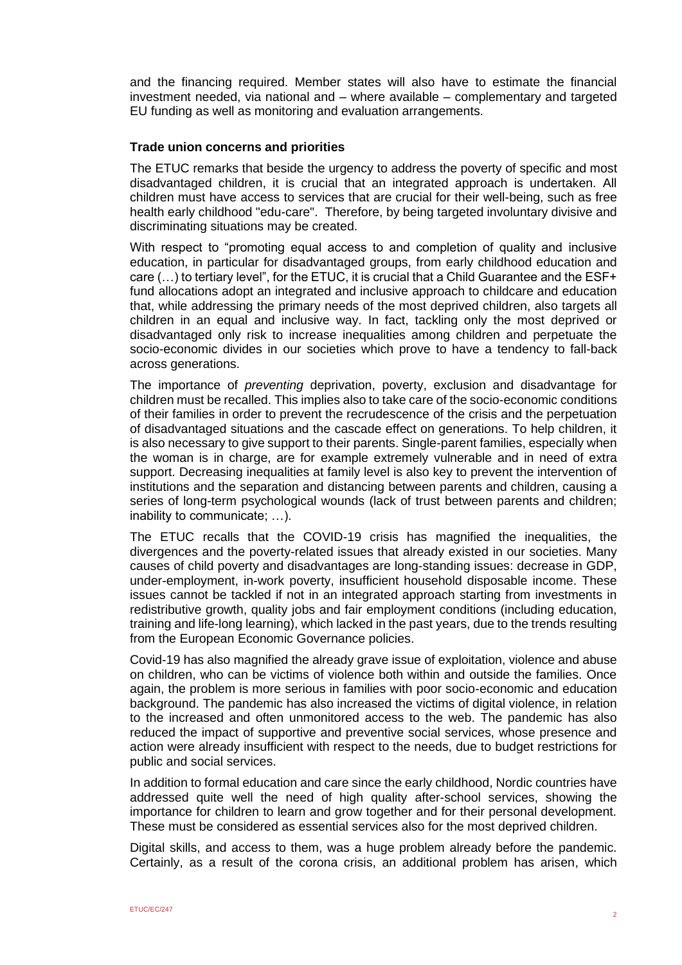and the financing required. Member states will also have to estimate the financial investment needed, via national and – where available – complementary and targeted EU funding as well as monitoring and evaluation arrangements.

### **Trade union concerns and priorities**

The ETUC remarks that beside the urgency to address the poverty of specific and most disadvantaged children, it is crucial that an integrated approach is undertaken. All children must have access to services that are crucial for their well-being, such as free health early childhood "edu-care". Therefore, by being targeted involuntary divisive and discriminating situations may be created.

With respect to "promoting equal access to and completion of quality and inclusive education, in particular for disadvantaged groups, from early childhood education and care (…) to tertiary level", for the ETUC, it is crucial that a Child Guarantee and the ESF+ fund allocations adopt an integrated and inclusive approach to childcare and education that, while addressing the primary needs of the most deprived children, also targets all children in an equal and inclusive way. In fact, tackling only the most deprived or disadvantaged only risk to increase inequalities among children and perpetuate the socio-economic divides in our societies which prove to have a tendency to fall-back across generations.

The importance of *preventing* deprivation, poverty, exclusion and disadvantage for children must be recalled. This implies also to take care of the socio-economic conditions of their families in order to prevent the recrudescence of the crisis and the perpetuation of disadvantaged situations and the cascade effect on generations. To help children, it is also necessary to give support to their parents. Single-parent families, especially when the woman is in charge, are for example extremely vulnerable and in need of extra support. Decreasing inequalities at family level is also key to prevent the intervention of institutions and the separation and distancing between parents and children, causing a series of long-term psychological wounds (lack of trust between parents and children; inability to communicate; …).

The ETUC recalls that the COVID-19 crisis has magnified the inequalities, the divergences and the poverty-related issues that already existed in our societies. Many causes of child poverty and disadvantages are long-standing issues: decrease in GDP, under-employment, in-work poverty, insufficient household disposable income. These issues cannot be tackled if not in an integrated approach starting from investments in redistributive growth, quality jobs and fair employment conditions (including education, training and life-long learning), which lacked in the past years, due to the trends resulting from the European Economic Governance policies.

Covid-19 has also magnified the already grave issue of exploitation, violence and abuse on children, who can be victims of violence both within and outside the families. Once again, the problem is more serious in families with poor socio-economic and education background. The pandemic has also increased the victims of digital violence, in relation to the increased and often unmonitored access to the web. The pandemic has also reduced the impact of supportive and preventive social services, whose presence and action were already insufficient with respect to the needs, due to budget restrictions for public and social services.

In addition to formal education and care since the early childhood, Nordic countries have addressed quite well the need of high quality after-school services, showing the importance for children to learn and grow together and for their personal development. These must be considered as essential services also for the most deprived children.

Digital skills, and access to them, was a huge problem already before the pandemic. Certainly, as a result of the corona crisis, an additional problem has arisen, which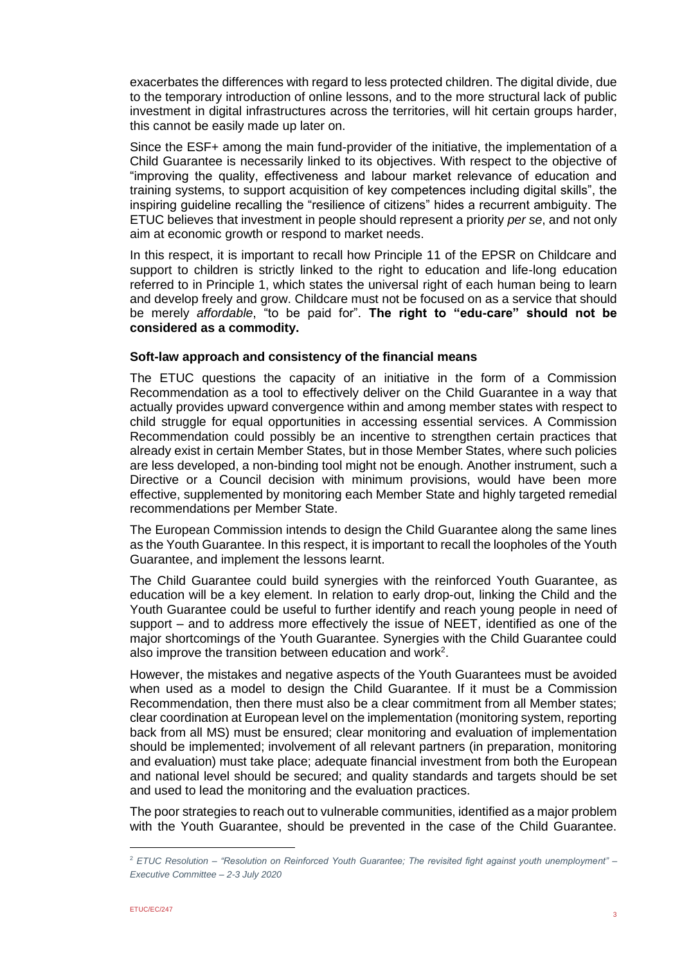exacerbates the differences with regard to less protected children. The digital divide, due to the temporary introduction of online lessons, and to the more structural lack of public investment in digital infrastructures across the territories, will hit certain groups harder, this cannot be easily made up later on.

Since the ESF+ among the main fund-provider of the initiative, the implementation of a Child Guarantee is necessarily linked to its objectives. With respect to the objective of "improving the quality, effectiveness and labour market relevance of education and training systems, to support acquisition of key competences including digital skills", the inspiring guideline recalling the "resilience of citizens" hides a recurrent ambiguity. The ETUC believes that investment in people should represent a priority *per se*, and not only aim at economic growth or respond to market needs.

In this respect, it is important to recall how Principle 11 of the EPSR on Childcare and support to children is strictly linked to the right to education and life-long education referred to in Principle 1, which states the universal right of each human being to learn and develop freely and grow. Childcare must not be focused on as a service that should be merely *affordable*, "to be paid for". **The right to "edu-care" should not be considered as a commodity.**

#### **Soft-law approach and consistency of the financial means**

The ETUC questions the capacity of an initiative in the form of a Commission Recommendation as a tool to effectively deliver on the Child Guarantee in a way that actually provides upward convergence within and among member states with respect to child struggle for equal opportunities in accessing essential services. A Commission Recommendation could possibly be an incentive to strengthen certain practices that already exist in certain Member States, but in those Member States, where such policies are less developed, a non-binding tool might not be enough. Another instrument, such a Directive or a Council decision with minimum provisions, would have been more effective, supplemented by monitoring each Member State and highly targeted remedial recommendations per Member State.

The European Commission intends to design the Child Guarantee along the same lines as the Youth Guarantee. In this respect, it is important to recall the loopholes of the Youth Guarantee, and implement the lessons learnt.

The Child Guarantee could build synergies with the reinforced Youth Guarantee, as education will be a key element. In relation to early drop-out, linking the Child and the Youth Guarantee could be useful to further identify and reach young people in need of support – and to address more effectively the issue of NEET, identified as one of the major shortcomings of the Youth Guarantee. Synergies with the Child Guarantee could also improve the transition between education and work<sup>2</sup>.

However, the mistakes and negative aspects of the Youth Guarantees must be avoided when used as a model to design the Child Guarantee. If it must be a Commission Recommendation, then there must also be a clear commitment from all Member states; clear coordination at European level on the implementation (monitoring system, reporting back from all MS) must be ensured; clear monitoring and evaluation of implementation should be implemented; involvement of all relevant partners (in preparation, monitoring and evaluation) must take place; adequate financial investment from both the European and national level should be secured; and quality standards and targets should be set and used to lead the monitoring and the evaluation practices.

The poor strategies to reach out to vulnerable communities, identified as a major problem with the Youth Guarantee, should be prevented in the case of the Child Guarantee.

<sup>2</sup> *ETUC Resolution – "Resolution on Reinforced Youth Guarantee; The revisited fight against youth unemployment" – Executive Committee – 2-3 July 2020*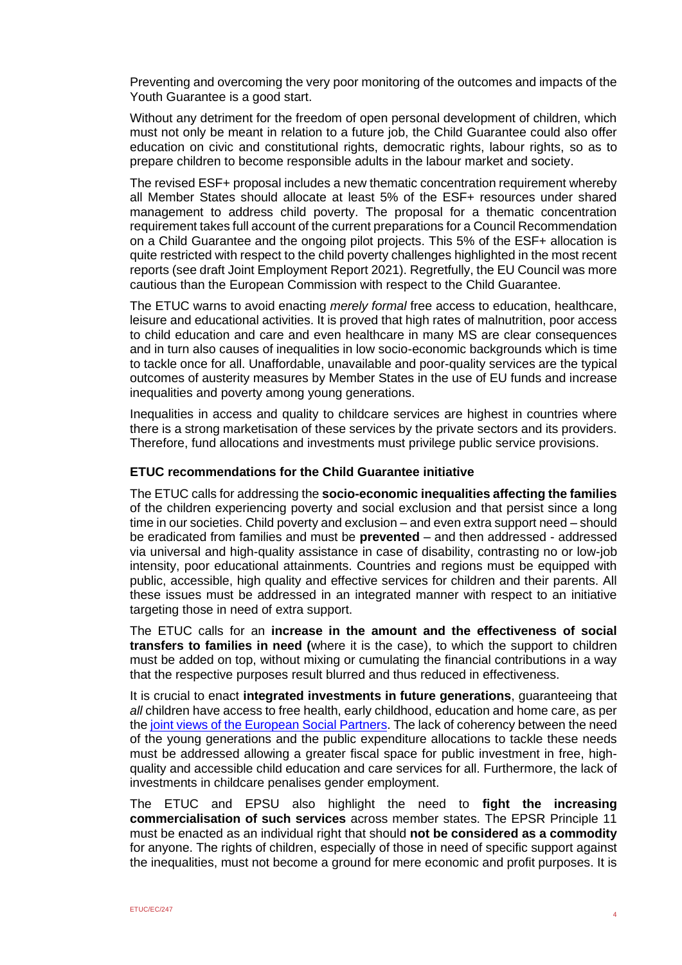Preventing and overcoming the very poor monitoring of the outcomes and impacts of the Youth Guarantee is a good start.

Without any detriment for the freedom of open personal development of children, which must not only be meant in relation to a future job, the Child Guarantee could also offer education on civic and constitutional rights, democratic rights, labour rights, so as to prepare children to become responsible adults in the labour market and society.

The revised ESF+ proposal includes a new thematic concentration requirement whereby all Member States should allocate at least 5% of the ESF+ resources under shared management to address child poverty. The proposal for a thematic concentration requirement takes full account of the current preparations for a Council Recommendation on a Child Guarantee and the ongoing pilot projects. This 5% of the ESF+ allocation is quite restricted with respect to the child poverty challenges highlighted in the most recent reports (see draft Joint Employment Report 2021). Regretfully, the EU Council was more cautious than the European Commission with respect to the Child Guarantee.

The ETUC warns to avoid enacting *merely formal* free access to education, healthcare, leisure and educational activities. It is proved that high rates of malnutrition, poor access to child education and care and even healthcare in many MS are clear consequences and in turn also causes of inequalities in low socio-economic backgrounds which is time to tackle once for all. Unaffordable, unavailable and poor-quality services are the typical outcomes of austerity measures by Member States in the use of EU funds and increase inequalities and poverty among young generations.

Inequalities in access and quality to childcare services are highest in countries where there is a strong marketisation of these services by the private sectors and its providers. Therefore, fund allocations and investments must privilege public service provisions.

### **ETUC recommendations for the Child Guarantee initiative**

The ETUC calls for addressing the **socio-economic inequalities affecting the families** of the children experiencing poverty and social exclusion and that persist since a long time in our societies. Child poverty and exclusion – and even extra support need – should be eradicated from families and must be **prevented** – and then addressed - addressed via universal and high-quality assistance in case of disability, contrasting no or low-job intensity, poor educational attainments. Countries and regions must be equipped with public, accessible, high quality and effective services for children and their parents. All these issues must be addressed in an integrated manner with respect to an initiative targeting those in need of extra support.

The ETUC calls for an **increase in the amount and the effectiveness of social transfers to families in need (**where it is the case), to which the support to children must be added on top, without mixing or cumulating the financial contributions in a way that the respective purposes result blurred and thus reduced in effectiveness.

It is crucial to enact **integrated investments in future generations**, guaranteeing that *all* children have access to free health, early childhood, education and home care, as per the [joint views of the European Social Partners.](https://www.etuc.org/en/document/european-social-partners-joint-statement-childcare-provisions-eu) The lack of coherency between the need of the young generations and the public expenditure allocations to tackle these needs must be addressed allowing a greater fiscal space for public investment in free, highquality and accessible child education and care services for all. Furthermore, the lack of investments in childcare penalises gender employment.

The ETUC and EPSU also highlight the need to **fight the increasing commercialisation of such services** across member states. The EPSR Principle 11 must be enacted as an individual right that should **not be considered as a commodity** for anyone. The rights of children, especially of those in need of specific support against the inequalities, must not become a ground for mere economic and profit purposes. It is